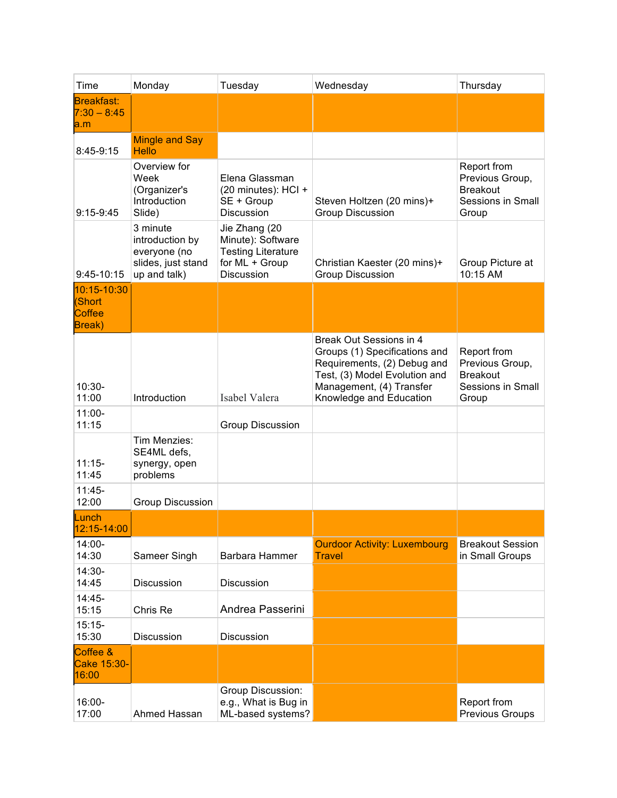| Time                                                     | Monday                                                                            | Tuesday                                                                                         | Wednesday                                                                                                                                                                       | Thursday                                                                               |
|----------------------------------------------------------|-----------------------------------------------------------------------------------|-------------------------------------------------------------------------------------------------|---------------------------------------------------------------------------------------------------------------------------------------------------------------------------------|----------------------------------------------------------------------------------------|
| <b>Breakfast:</b><br>$7:30 - 8:45$<br>a.m                |                                                                                   |                                                                                                 |                                                                                                                                                                                 |                                                                                        |
| 8:45-9:15                                                | <b>Mingle and Say</b><br><b>Hello</b>                                             |                                                                                                 |                                                                                                                                                                                 |                                                                                        |
| $9:15-9:45$                                              | Overview for<br>Week<br>(Organizer's<br>Introduction<br>Slide)                    | Elena Glassman<br>(20 minutes): HCI +<br>SE + Group<br><b>Discussion</b>                        | Steven Holtzen (20 mins)+<br><b>Group Discussion</b>                                                                                                                            | Report from<br>Previous Group,<br><b>Breakout</b><br><b>Sessions in Small</b><br>Group |
| 9:45-10:15                                               | 3 minute<br>introduction by<br>everyone (no<br>slides, just stand<br>up and talk) | Jie Zhang (20<br>Minute): Software<br><b>Testing Literature</b><br>for ML + Group<br>Discussion | Christian Kaester (20 mins)+<br><b>Group Discussion</b>                                                                                                                         | Group Picture at<br>10:15 AM                                                           |
| 10:15-10:30<br>(Short<br><b>Coffee</b><br><b>Break</b> ) |                                                                                   |                                                                                                 |                                                                                                                                                                                 |                                                                                        |
| $10:30-$<br>11:00                                        | Introduction                                                                      | Isabel Valera                                                                                   | Break Out Sessions in 4<br>Groups (1) Specifications and<br>Requirements, (2) Debug and<br>Test, (3) Model Evolution and<br>Management, (4) Transfer<br>Knowledge and Education | Report from<br>Previous Group,<br><b>Breakout</b><br><b>Sessions in Small</b><br>Group |
| $11:00 -$<br>11:15                                       |                                                                                   | <b>Group Discussion</b>                                                                         |                                                                                                                                                                                 |                                                                                        |
| $11:15-$<br>11:45                                        | Tim Menzies:<br>SE4ML defs,<br>synergy, open<br>problems                          |                                                                                                 |                                                                                                                                                                                 |                                                                                        |
| $11:45-$<br>12:00                                        | <b>Group Discussion</b>                                                           |                                                                                                 |                                                                                                                                                                                 |                                                                                        |
| Lunch<br><u>12:15-14:00</u>                              |                                                                                   |                                                                                                 |                                                                                                                                                                                 |                                                                                        |
| $14:00 -$<br>14:30                                       | Sameer Singh                                                                      | <b>Barbara Hammer</b>                                                                           | <b>Ourdoor Activity: Luxembourg</b><br><b>Travel</b>                                                                                                                            | <b>Breakout Session</b><br>in Small Groups                                             |
| 14:30-<br>14:45                                          | <b>Discussion</b>                                                                 | Discussion                                                                                      |                                                                                                                                                                                 |                                                                                        |
| 14:45-<br>15:15                                          | Chris Re                                                                          | Andrea Passerini                                                                                |                                                                                                                                                                                 |                                                                                        |
| $15:15-$<br>15:30                                        | <b>Discussion</b>                                                                 | <b>Discussion</b>                                                                               |                                                                                                                                                                                 |                                                                                        |
| Coffee &<br>Cake 15:30-<br>16:00                         |                                                                                   |                                                                                                 |                                                                                                                                                                                 |                                                                                        |
| 16:00-<br>17:00                                          | Ahmed Hassan                                                                      | Group Discussion:<br>e.g., What is Bug in<br>ML-based systems?                                  |                                                                                                                                                                                 | Report from<br><b>Previous Groups</b>                                                  |